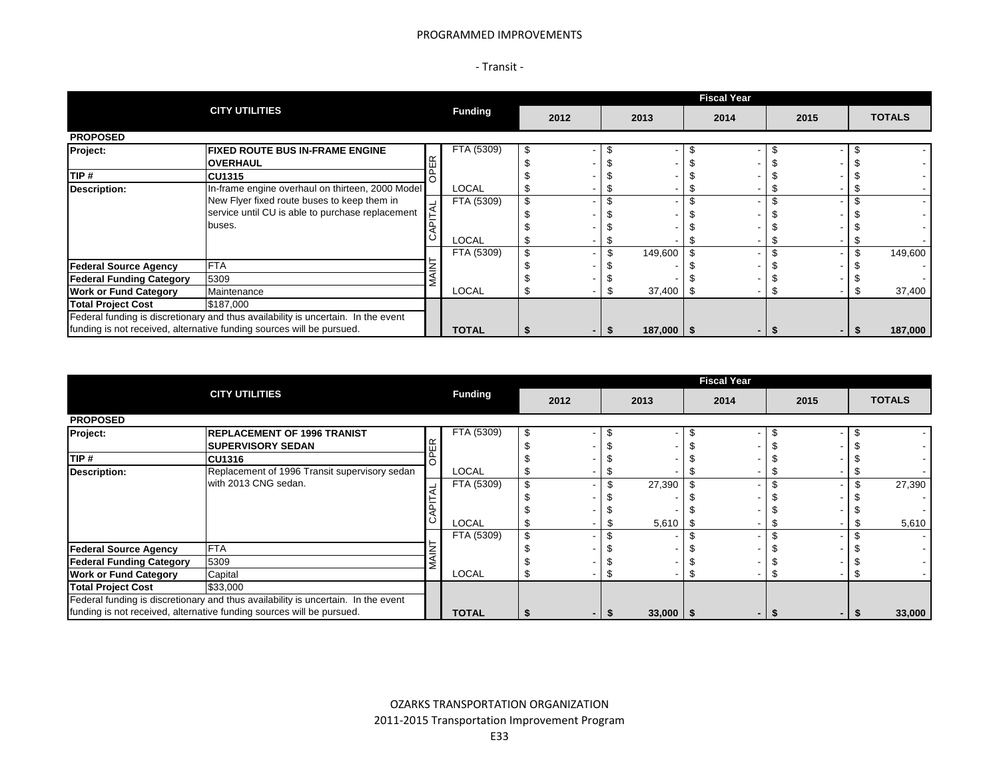#### PROGRAMMED IMPROVEMENTS

| ransit |  |
|--------|--|
|--------|--|

|                                                                                   |                                                                       |  |                | <b>Fiscal Year</b> |                |  |                |      |  |      |  |  |               |  |  |  |
|-----------------------------------------------------------------------------------|-----------------------------------------------------------------------|--|----------------|--------------------|----------------|--|----------------|------|--|------|--|--|---------------|--|--|--|
|                                                                                   | <b>CITY UTILITIES</b>                                                 |  | <b>Funding</b> | 2012               |                |  | 2013           | 2014 |  | 2015 |  |  | <b>TOTALS</b> |  |  |  |
| <b>PROPOSED</b>                                                                   |                                                                       |  |                |                    |                |  |                |      |  |      |  |  |               |  |  |  |
| Project:                                                                          | <b>FIXED ROUTE BUS IN-FRAME ENGINE</b>                                |  | FTA (5309)     | \$                 |                |  |                |      |  |      |  |  |               |  |  |  |
|                                                                                   | <b>OVERHAUL</b>                                                       |  |                |                    |                |  |                |      |  |      |  |  |               |  |  |  |
| TIP #                                                                             | <b>CU1315</b>                                                         |  |                |                    |                |  |                |      |  |      |  |  |               |  |  |  |
| <b>Description:</b>                                                               | In-frame engine overhaul on thirteen, 2000 Model                      |  | <b>LOCAL</b>   |                    |                |  |                |      |  |      |  |  |               |  |  |  |
|                                                                                   | New Flyer fixed route buses to keep them in                           |  | FTA (5309)     | $\mathfrak{s}$     |                |  |                |      |  |      |  |  |               |  |  |  |
|                                                                                   | service until CU is able to purchase replacement                      |  |                |                    |                |  |                |      |  |      |  |  |               |  |  |  |
|                                                                                   | buses.                                                                |  |                |                    |                |  |                |      |  |      |  |  |               |  |  |  |
|                                                                                   |                                                                       |  | <b>LOCAL</b>   |                    |                |  |                |      |  |      |  |  |               |  |  |  |
|                                                                                   |                                                                       |  | FTA (5309)     | \$                 |                |  | 149,600        |      |  |      |  |  | 149,600       |  |  |  |
| <b>Federal Source Agency</b>                                                      | <b>FTA</b>                                                            |  |                |                    |                |  |                |      |  |      |  |  |               |  |  |  |
| <b>Federal Funding Category</b>                                                   | 5309                                                                  |  |                |                    |                |  |                |      |  |      |  |  |               |  |  |  |
| <b>Work or Fund Category</b>                                                      | Maintenance                                                           |  | <b>LOCAL</b>   |                    |                |  | 37,400         |      |  |      |  |  | 37,400        |  |  |  |
| <b>Total Project Cost</b>                                                         | \$187,000                                                             |  |                |                    |                |  |                |      |  |      |  |  |               |  |  |  |
| Federal funding is discretionary and thus availability is uncertain. In the event |                                                                       |  |                |                    |                |  |                |      |  |      |  |  |               |  |  |  |
|                                                                                   | funding is not received, alternative funding sources will be pursued. |  | <b>TOTAL</b>   |                    | $\blacksquare$ |  | $187,000$   \$ |      |  |      |  |  | 187,000       |  |  |  |

|                                                                                   |                                                                       |                | <b>Fiscal Year</b> |      |      |               |      |  |      |  |  |               |  |  |  |
|-----------------------------------------------------------------------------------|-----------------------------------------------------------------------|----------------|--------------------|------|------|---------------|------|--|------|--|--|---------------|--|--|--|
|                                                                                   | <b>CITY UTILITIES</b>                                                 | <b>Funding</b> |                    | 2012 | 2013 |               | 2014 |  | 2015 |  |  | <b>TOTALS</b> |  |  |  |
| <b>PROPOSED</b>                                                                   |                                                                       |                |                    |      |      |               |      |  |      |  |  |               |  |  |  |
| Project:                                                                          | <b>IREPLACEMENT OF 1996 TRANIST</b>                                   | FTA (5309)     |                    |      |      |               |      |  |      |  |  |               |  |  |  |
|                                                                                   | <b>ISUPERVISORY SEDAN</b>                                             |                |                    |      |      |               |      |  |      |  |  |               |  |  |  |
| TIP #                                                                             | <b>CU1316</b>                                                         |                |                    |      |      |               |      |  |      |  |  |               |  |  |  |
| Description:                                                                      | Replacement of 1996 Transit supervisory sedan                         | LOCAL          |                    |      |      |               |      |  |      |  |  |               |  |  |  |
|                                                                                   | with 2013 CNG sedan.                                                  | FTA (5309)     |                    |      |      | 27,390        |      |  |      |  |  | 27,390        |  |  |  |
|                                                                                   |                                                                       |                |                    |      |      |               |      |  |      |  |  |               |  |  |  |
|                                                                                   |                                                                       |                |                    |      |      |               |      |  |      |  |  |               |  |  |  |
|                                                                                   |                                                                       | <b>LOCAL</b>   |                    |      |      | $5,610$ \$    |      |  |      |  |  | 5,610         |  |  |  |
|                                                                                   |                                                                       | FTA (5309)     |                    |      |      |               |      |  |      |  |  |               |  |  |  |
| <b>Federal Source Agency</b>                                                      | <b>FTA</b>                                                            |                |                    |      |      |               |      |  |      |  |  |               |  |  |  |
| <b>Federal Funding Category</b>                                                   | 5309                                                                  |                |                    |      |      |               |      |  |      |  |  |               |  |  |  |
| <b>Work or Fund Category</b>                                                      | Capital                                                               | <b>LOCAL</b>   |                    |      |      |               |      |  |      |  |  |               |  |  |  |
| <b>Total Project Cost</b>                                                         | \$33,000                                                              |                |                    |      |      |               |      |  |      |  |  |               |  |  |  |
| Federal funding is discretionary and thus availability is uncertain. In the event |                                                                       |                |                    |      |      |               |      |  |      |  |  |               |  |  |  |
|                                                                                   | funding is not received, alternative funding sources will be pursued. | <b>TOTAL</b>   |                    |      |      | $33,000$   \$ |      |  |      |  |  | 33,000        |  |  |  |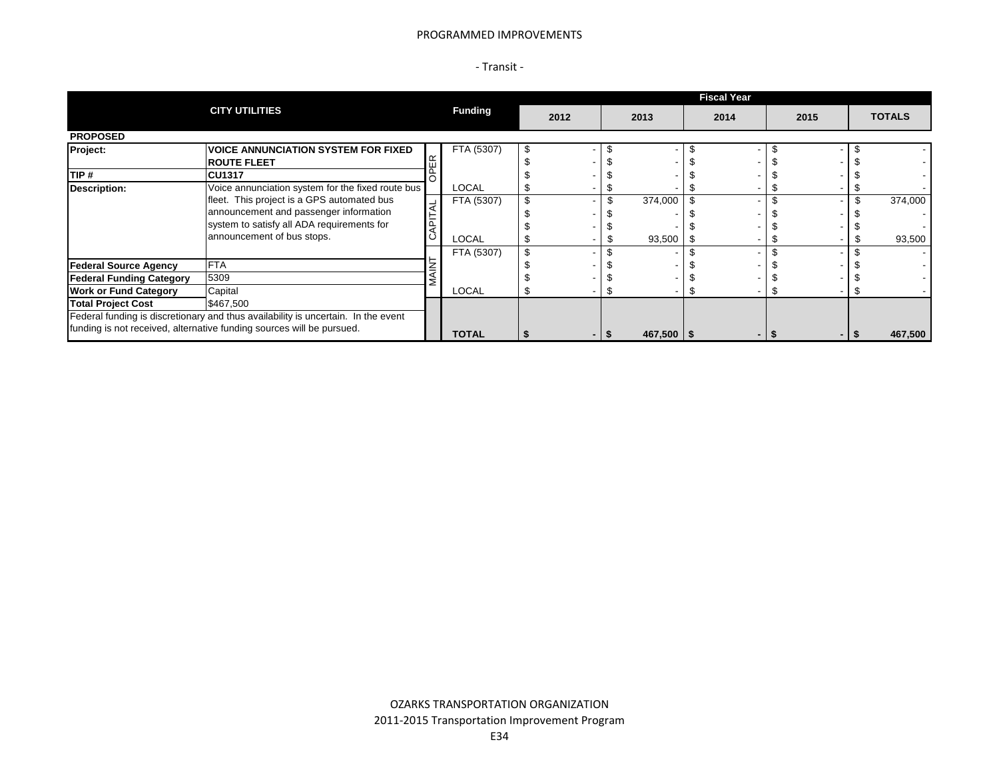#### PROGRAMMED IMPROVEMENTS

| ransit |  |
|--------|--|
|--------|--|

|                                                                                   |                                                                       |                | <b>Fiscal Year</b> |                |  |                |      |  |      |  |  |               |  |  |  |
|-----------------------------------------------------------------------------------|-----------------------------------------------------------------------|----------------|--------------------|----------------|--|----------------|------|--|------|--|--|---------------|--|--|--|
|                                                                                   | <b>CITY UTILITIES</b>                                                 | <b>Funding</b> |                    | 2012           |  | 2013           | 2014 |  | 2015 |  |  | <b>TOTALS</b> |  |  |  |
| <b>PROPOSED</b>                                                                   |                                                                       |                |                    |                |  |                |      |  |      |  |  |               |  |  |  |
| Project:                                                                          | <b>VOICE ANNUNCIATION SYSTEM FOR FIXED</b>                            | FTA (5307)     | - 95               |                |  |                |      |  |      |  |  |               |  |  |  |
|                                                                                   | <b>ROUTE FLEET</b>                                                    |                |                    |                |  |                |      |  |      |  |  |               |  |  |  |
| TIP #                                                                             | <b>CU1317</b>                                                         |                |                    |                |  |                |      |  |      |  |  |               |  |  |  |
| <b>Description:</b>                                                               | Voice annunciation system for the fixed route bus                     | <b>LOCAL</b>   |                    |                |  |                |      |  |      |  |  |               |  |  |  |
|                                                                                   | fleet. This project is a GPS automated bus                            | FTA (5307)     |                    |                |  | 374,000        |      |  |      |  |  | 374,000       |  |  |  |
|                                                                                   | announcement and passenger information                                |                |                    |                |  |                |      |  |      |  |  |               |  |  |  |
|                                                                                   | system to satisfy all ADA requirements for                            |                |                    |                |  |                |      |  |      |  |  |               |  |  |  |
|                                                                                   | announcement of bus stops.                                            | LOCAL          |                    |                |  | 93,500         |      |  |      |  |  | 93,500        |  |  |  |
|                                                                                   |                                                                       | FTA (5307)     |                    |                |  |                |      |  |      |  |  |               |  |  |  |
| <b>Federal Source Agency</b>                                                      | <b>FTA</b>                                                            |                |                    |                |  |                |      |  |      |  |  |               |  |  |  |
| <b>Federal Funding Category</b>                                                   | 5309                                                                  |                |                    |                |  |                |      |  |      |  |  |               |  |  |  |
| <b>Work or Fund Category</b>                                                      | Capital                                                               | LOCAL          |                    |                |  |                |      |  |      |  |  |               |  |  |  |
| <b>Total Project Cost</b>                                                         | \$467,500                                                             |                |                    |                |  |                |      |  |      |  |  |               |  |  |  |
| Federal funding is discretionary and thus availability is uncertain. In the event |                                                                       |                |                    |                |  |                |      |  |      |  |  |               |  |  |  |
|                                                                                   | funding is not received, alternative funding sources will be pursued. | <b>TOTAL</b>   |                    | $\blacksquare$ |  | $467,500$   \$ |      |  |      |  |  | 467,500       |  |  |  |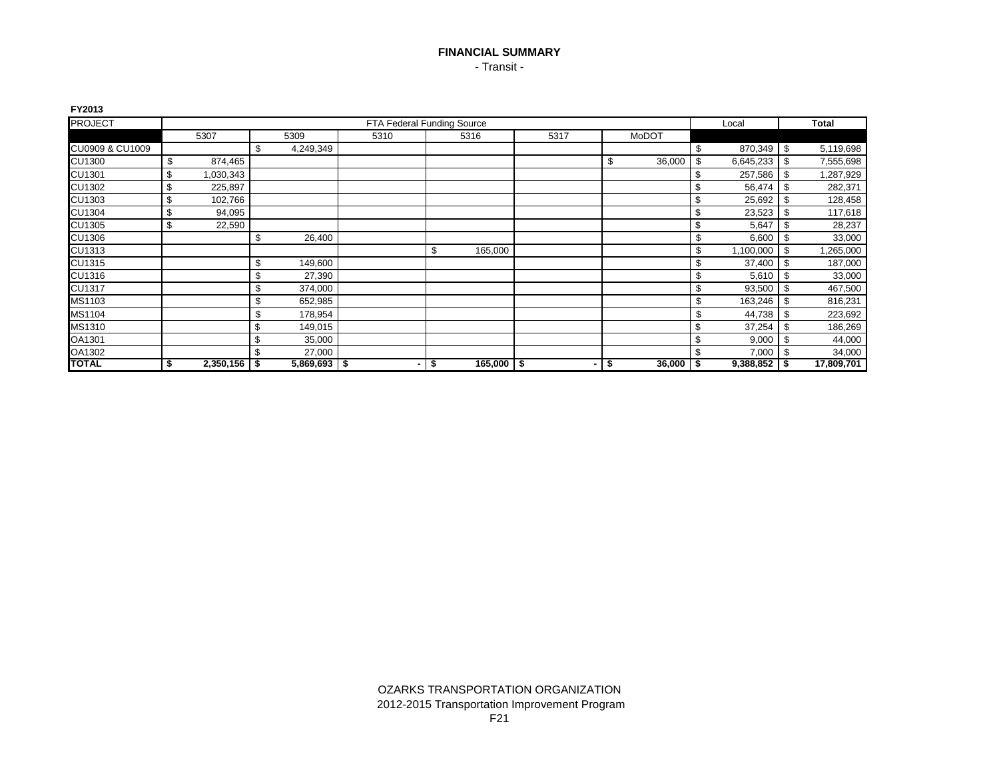## **FINANCIAL SUMMARY** - Transit -

| FY2013          |                      |                 |      |    |                            |      |              |        |      |            |      |              |
|-----------------|----------------------|-----------------|------|----|----------------------------|------|--------------|--------|------|------------|------|--------------|
| <b>PROJECT</b>  |                      |                 |      |    | FTA Federal Funding Source |      |              |        |      | Local      |      | <b>Total</b> |
|                 | 5307                 | 5309            | 5310 |    | 5316                       | 5317 | <b>MoDOT</b> |        |      |            |      |              |
| CU0909 & CU1009 |                      | \$<br>4,249,349 |      |    |                            |      |              |        | \$   | 870,349 \$ |      | 5,119,698    |
| <b>CU1300</b>   | \$<br>874,465        |                 |      |    |                            |      | S            | 36,000 | \$   | 6,645,233  | -\$  | 7,555,698    |
| CU1301          | \$<br>1,030,343      |                 |      |    |                            |      |              |        | \$   | 257,586    | -\$  | 1,287,929    |
| CU1302          | \$<br>225,897        |                 |      |    |                            |      |              |        | \$   | 56,474     | -\$  | 282,371      |
| <b>CU1303</b>   | \$<br>102,766        |                 |      |    |                            |      |              |        | \$   | 25,692     | -\$  | 128,458      |
| <b>CU1304</b>   | \$<br>94,095         |                 |      |    |                            |      |              |        | \$   | 23,523     | \$   | 117,618      |
| <b>CU1305</b>   | \$<br>22,590         |                 |      |    |                            |      |              |        | \$   | 5,647      | -\$  | 28,237       |
| <b>CU1306</b>   |                      | \$<br>26,400    |      |    |                            |      |              |        | \$   | 6,600      | -\$  | 33,000       |
| CU1313          |                      |                 |      | \$ | 165,000                    |      |              |        | \$   | 1,100,000  | -\$  | 1,265,000    |
| <b>CU1315</b>   |                      | \$<br>149,600   |      |    |                            |      |              |        |      | 37,400     | -\$  | 187,000      |
| CU1316          |                      | \$<br>27,390    |      |    |                            |      |              |        |      | 5,610      | -\$  | 33,000       |
| <b>CU1317</b>   |                      | \$<br>374,000   |      |    |                            |      |              |        | \$   | 93,500     | -\$  | 467,500      |
| MS1103          |                      | \$<br>652,985   |      |    |                            |      |              |        | \$   | 163,246    | -\$  | 816,231      |
| MS1104          |                      | \$<br>178,954   |      |    |                            |      |              |        | \$   | 44,738     | -\$  | 223,692      |
| MS1310          |                      | \$<br>149,015   |      |    |                            |      |              |        | \$   | 37,254     | \$   | 186,269      |
| OA1301          |                      | \$<br>35,000    |      |    |                            |      |              |        | \$   | 9,000      | -\$  | 44,000       |
| OA1302          |                      | \$<br>27,000    |      |    |                            |      |              |        | \$   | 7,000      | -\$  | 34,000       |
| <b>TOTAL</b>    | \$<br>$2,350,156$ \$ | $5,869,693$ \$  |      | \$ | $165,000$ \$               | ۰.   | \$           | 36,000 | - \$ | 9,388,852  | - 56 | 17,809,701   |